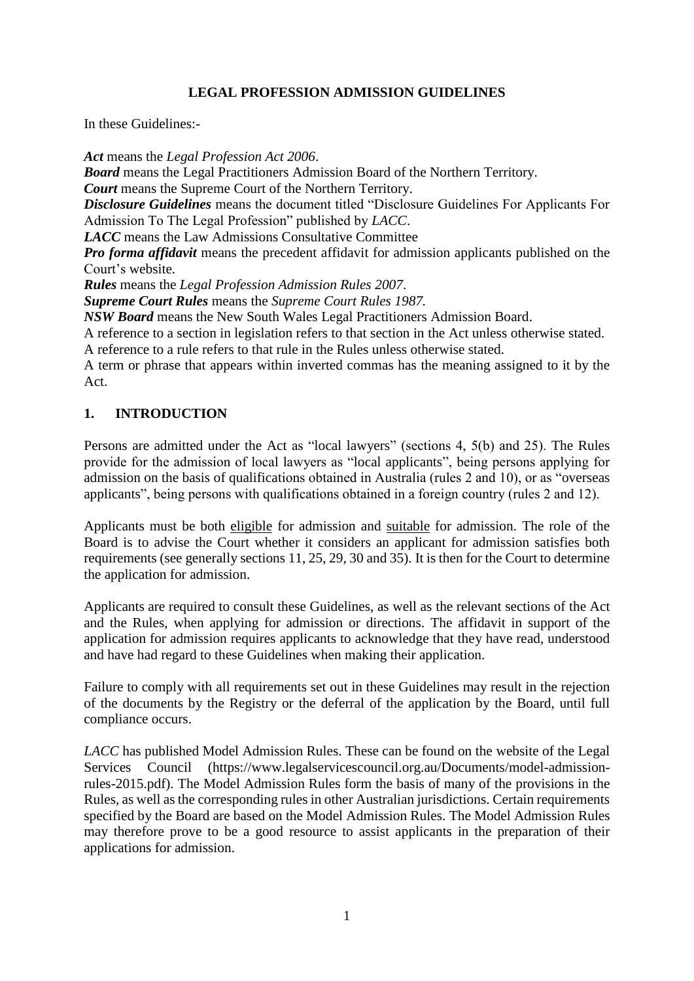## **LEGAL PROFESSION ADMISSION GUIDELINES**

In these Guidelines:-

*Act* means the *Legal Profession Act 2006*. *Board* means the Legal Practitioners Admission Board of the Northern Territory. *Court* means the Supreme Court of the Northern Territory. *Disclosure Guidelines* means the document titled "Disclosure Guidelines For Applicants For Admission To The Legal Profession" published by *LACC*. *LACC* means the Law Admissions Consultative Committee *Pro forma affidavit* means the precedent affidavit for admission applicants published on the Court's website. *Rules* means the *Legal Profession Admission Rules 2007*. *Supreme Court Rules* means the *Supreme Court Rules 1987. NSW Board* means the New South Wales Legal Practitioners Admission Board. A reference to a section in legislation refers to that section in the Act unless otherwise stated. A reference to a rule refers to that rule in the Rules unless otherwise stated.

A term or phrase that appears within inverted commas has the meaning assigned to it by the Act.

### **1. INTRODUCTION**

Persons are admitted under the Act as "local lawyers" (sections 4, 5(b) and 25). The Rules provide for the admission of local lawyers as "local applicants", being persons applying for admission on the basis of qualifications obtained in Australia (rules 2 and 10), or as "overseas applicants", being persons with qualifications obtained in a foreign country (rules 2 and 12).

Applicants must be both eligible for admission and suitable for admission. The role of the Board is to advise the Court whether it considers an applicant for admission satisfies both requirements (see generally sections 11, 25, 29, 30 and 35). It is then for the Court to determine the application for admission.

Applicants are required to consult these Guidelines, as well as the relevant sections of the Act and the Rules, when applying for admission or directions. The affidavit in support of the application for admission requires applicants to acknowledge that they have read, understood and have had regard to these Guidelines when making their application.

Failure to comply with all requirements set out in these Guidelines may result in the rejection of the documents by the Registry or the deferral of the application by the Board, until full compliance occurs.

*LACC* has published Model Admission Rules. These can be found on the website of the Legal Services Council (https://www.legalservicescouncil.org.au/Documents/model-admissionrules-2015.pdf). The Model Admission Rules form the basis of many of the provisions in the Rules, as well as the corresponding rules in other Australian jurisdictions. Certain requirements specified by the Board are based on the Model Admission Rules. The Model Admission Rules may therefore prove to be a good resource to assist applicants in the preparation of their applications for admission.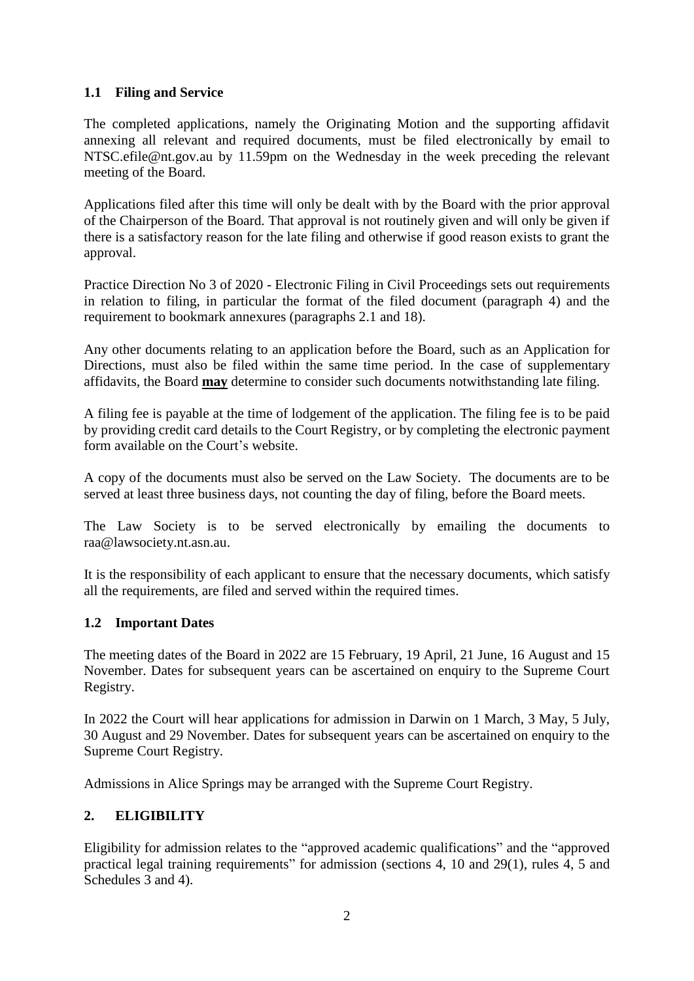## **1.1 Filing and Service**

The completed applications, namely the Originating Motion and the supporting affidavit annexing all relevant and required documents, must be filed electronically by email to NTSC.efile@nt.gov.au by 11.59pm on the Wednesday in the week preceding the relevant meeting of the Board.

Applications filed after this time will only be dealt with by the Board with the prior approval of the Chairperson of the Board. That approval is not routinely given and will only be given if there is a satisfactory reason for the late filing and otherwise if good reason exists to grant the approval.

Practice Direction No 3 of 2020 - Electronic Filing in Civil Proceedings sets out requirements in relation to filing, in particular the format of the filed document (paragraph 4) and the requirement to bookmark annexures (paragraphs 2.1 and 18).

Any other documents relating to an application before the Board, such as an Application for Directions, must also be filed within the same time period. In the case of supplementary affidavits, the Board **may** determine to consider such documents notwithstanding late filing.

A filing fee is payable at the time of lodgement of the application. The filing fee is to be paid by providing credit card details to the Court Registry, or by completing the electronic payment form available on the Court's website.

A copy of the documents must also be served on the Law Society. The documents are to be served at least three business days, not counting the day of filing, before the Board meets.

The Law Society is to be served electronically by emailing the documents to raa@lawsociety.nt.asn.au.

It is the responsibility of each applicant to ensure that the necessary documents, which satisfy all the requirements, are filed and served within the required times.

### **1.2 Important Dates**

The meeting dates of the Board in 2022 are 15 February, 19 April, 21 June, 16 August and 15 November. Dates for subsequent years can be ascertained on enquiry to the Supreme Court Registry.

In 2022 the Court will hear applications for admission in Darwin on 1 March, 3 May, 5 July, 30 August and 29 November. Dates for subsequent years can be ascertained on enquiry to the Supreme Court Registry.

Admissions in Alice Springs may be arranged with the Supreme Court Registry.

# **2. ELIGIBILITY**

Eligibility for admission relates to the "approved academic qualifications" and the "approved practical legal training requirements" for admission (sections 4, 10 and 29(1), rules 4, 5 and Schedules 3 and 4).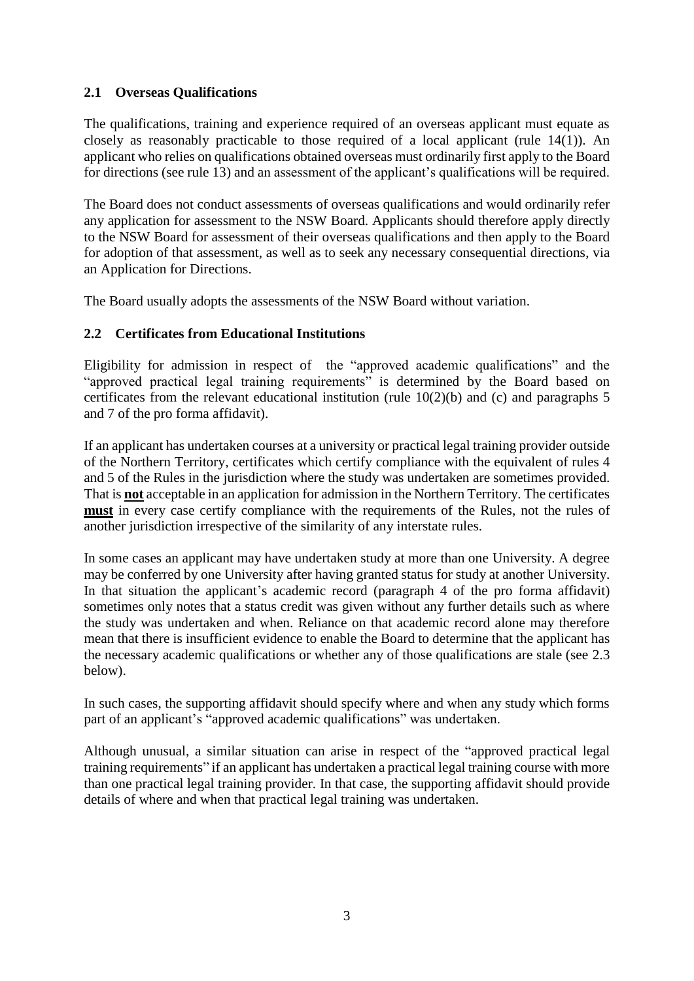## **2.1 Overseas Qualifications**

The qualifications, training and experience required of an overseas applicant must equate as closely as reasonably practicable to those required of a local applicant (rule 14(1)). An applicant who relies on qualifications obtained overseas must ordinarily first apply to the Board for directions (see rule 13) and an assessment of the applicant's qualifications will be required.

The Board does not conduct assessments of overseas qualifications and would ordinarily refer any application for assessment to the NSW Board. Applicants should therefore apply directly to the NSW Board for assessment of their overseas qualifications and then apply to the Board for adoption of that assessment, as well as to seek any necessary consequential directions, via an Application for Directions.

The Board usually adopts the assessments of the NSW Board without variation.

## **2.2 Certificates from Educational Institutions**

Eligibility for admission in respect of the "approved academic qualifications" and the "approved practical legal training requirements" is determined by the Board based on certificates from the relevant educational institution (rule 10(2)(b) and (c) and paragraphs 5 and 7 of the pro forma affidavit).

If an applicant has undertaken courses at a university or practical legal training provider outside of the Northern Territory, certificates which certify compliance with the equivalent of rules 4 and 5 of the Rules in the jurisdiction where the study was undertaken are sometimes provided. That is **not** acceptable in an application for admission in the Northern Territory. The certificates **must** in every case certify compliance with the requirements of the Rules, not the rules of another jurisdiction irrespective of the similarity of any interstate rules.

In some cases an applicant may have undertaken study at more than one University. A degree may be conferred by one University after having granted status for study at another University. In that situation the applicant's academic record (paragraph 4 of the pro forma affidavit) sometimes only notes that a status credit was given without any further details such as where the study was undertaken and when. Reliance on that academic record alone may therefore mean that there is insufficient evidence to enable the Board to determine that the applicant has the necessary academic qualifications or whether any of those qualifications are stale (see 2.3 below).

In such cases, the supporting affidavit should specify where and when any study which forms part of an applicant's "approved academic qualifications" was undertaken.

Although unusual, a similar situation can arise in respect of the "approved practical legal training requirements" if an applicant has undertaken a practical legal training course with more than one practical legal training provider. In that case, the supporting affidavit should provide details of where and when that practical legal training was undertaken.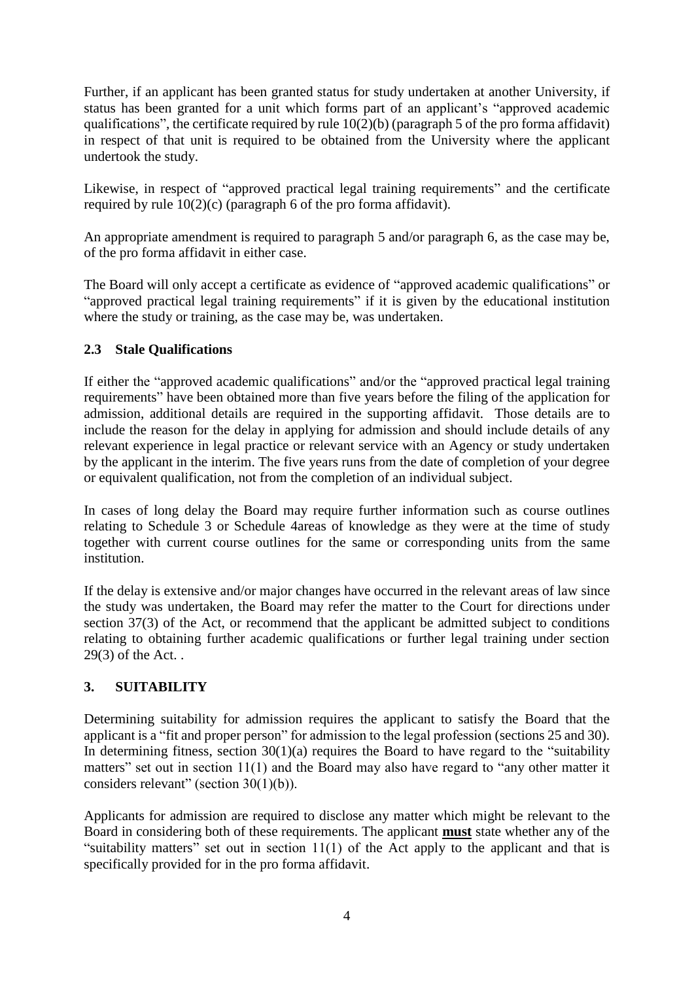Further, if an applicant has been granted status for study undertaken at another University, if status has been granted for a unit which forms part of an applicant's "approved academic qualifications", the certificate required by rule  $10(2)(b)$  (paragraph 5 of the pro forma affidavit) in respect of that unit is required to be obtained from the University where the applicant undertook the study.

Likewise, in respect of "approved practical legal training requirements" and the certificate required by rule 10(2)(c) (paragraph 6 of the pro forma affidavit).

An appropriate amendment is required to paragraph 5 and/or paragraph 6, as the case may be, of the pro forma affidavit in either case.

The Board will only accept a certificate as evidence of "approved academic qualifications" or "approved practical legal training requirements" if it is given by the educational institution where the study or training, as the case may be, was undertaken.

## **2.3 Stale Qualifications**

If either the "approved academic qualifications" and/or the "approved practical legal training requirements" have been obtained more than five years before the filing of the application for admission, additional details are required in the supporting affidavit. Those details are to include the reason for the delay in applying for admission and should include details of any relevant experience in legal practice or relevant service with an Agency or study undertaken by the applicant in the interim. The five years runs from the date of completion of your degree or equivalent qualification, not from the completion of an individual subject.

In cases of long delay the Board may require further information such as course outlines relating to Schedule 3 or Schedule 4areas of knowledge as they were at the time of study together with current course outlines for the same or corresponding units from the same institution.

If the delay is extensive and/or major changes have occurred in the relevant areas of law since the study was undertaken, the Board may refer the matter to the Court for directions under section 37(3) of the Act, or recommend that the applicant be admitted subject to conditions relating to obtaining further academic qualifications or further legal training under section 29(3) of the Act. .

# **3. SUITABILITY**

Determining suitability for admission requires the applicant to satisfy the Board that the applicant is a "fit and proper person" for admission to the legal profession (sections 25 and 30). In determining fitness, section  $30(1)(a)$  requires the Board to have regard to the "suitability" matters" set out in section 11(1) and the Board may also have regard to "any other matter it considers relevant" (section 30(1)(b)).

Applicants for admission are required to disclose any matter which might be relevant to the Board in considering both of these requirements. The applicant **must** state whether any of the "suitability matters" set out in section  $11(1)$  of the Act apply to the applicant and that is specifically provided for in the pro forma affidavit.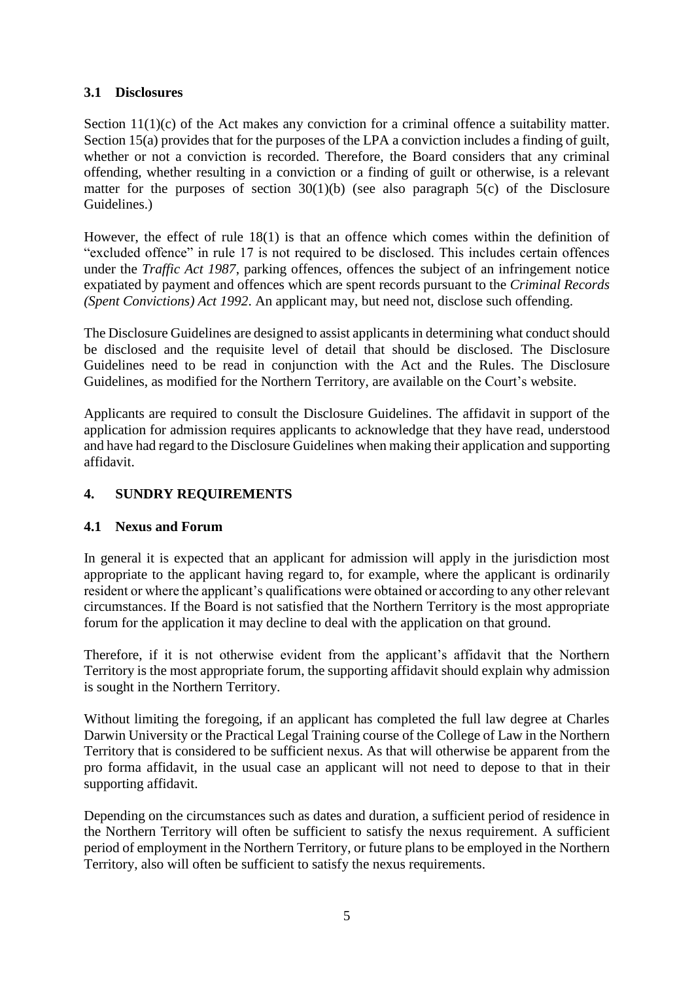### **3.1 Disclosures**

Section 11(1)(c) of the Act makes any conviction for a criminal offence a suitability matter. Section 15(a) provides that for the purposes of the LPA a conviction includes a finding of guilt, whether or not a conviction is recorded. Therefore, the Board considers that any criminal offending, whether resulting in a conviction or a finding of guilt or otherwise, is a relevant matter for the purposes of section  $30(1)(b)$  (see also paragraph  $5(c)$  of the Disclosure Guidelines.)

However, the effect of rule 18(1) is that an offence which comes within the definition of "excluded offence" in rule 17 is not required to be disclosed. This includes certain offences under the *Traffic Act 1987*, parking offences, offences the subject of an infringement notice expatiated by payment and offences which are spent records pursuant to the *Criminal Records (Spent Convictions) Act 1992*. An applicant may, but need not, disclose such offending.

The Disclosure Guidelines are designed to assist applicants in determining what conduct should be disclosed and the requisite level of detail that should be disclosed. The Disclosure Guidelines need to be read in conjunction with the Act and the Rules. The Disclosure Guidelines, as modified for the Northern Territory, are available on the Court's website.

Applicants are required to consult the Disclosure Guidelines. The affidavit in support of the application for admission requires applicants to acknowledge that they have read, understood and have had regard to the Disclosure Guidelines when making their application and supporting affidavit.

### **4. SUNDRY REQUIREMENTS**

### **4.1 Nexus and Forum**

In general it is expected that an applicant for admission will apply in the jurisdiction most appropriate to the applicant having regard to, for example, where the applicant is ordinarily resident or where the applicant's qualifications were obtained or according to any other relevant circumstances. If the Board is not satisfied that the Northern Territory is the most appropriate forum for the application it may decline to deal with the application on that ground.

Therefore, if it is not otherwise evident from the applicant's affidavit that the Northern Territory is the most appropriate forum, the supporting affidavit should explain why admission is sought in the Northern Territory.

Without limiting the foregoing, if an applicant has completed the full law degree at Charles Darwin University or the Practical Legal Training course of the College of Law in the Northern Territory that is considered to be sufficient nexus. As that will otherwise be apparent from the pro forma affidavit, in the usual case an applicant will not need to depose to that in their supporting affidavit.

Depending on the circumstances such as dates and duration, a sufficient period of residence in the Northern Territory will often be sufficient to satisfy the nexus requirement. A sufficient period of employment in the Northern Territory, or future plans to be employed in the Northern Territory, also will often be sufficient to satisfy the nexus requirements.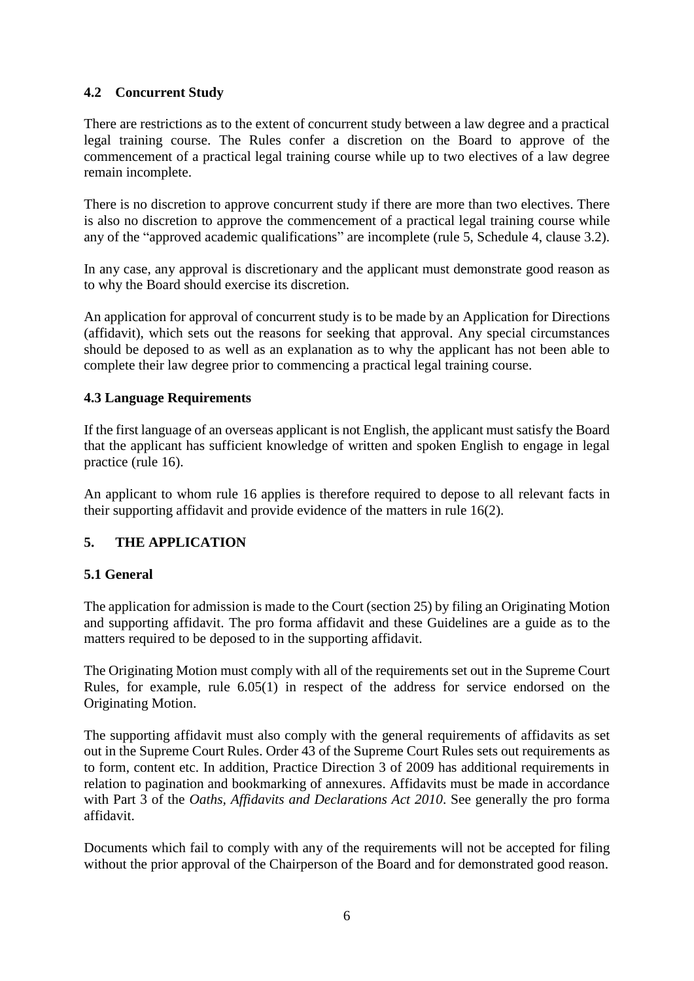## **4.2 Concurrent Study**

There are restrictions as to the extent of concurrent study between a law degree and a practical legal training course. The Rules confer a discretion on the Board to approve of the commencement of a practical legal training course while up to two electives of a law degree remain incomplete.

There is no discretion to approve concurrent study if there are more than two electives. There is also no discretion to approve the commencement of a practical legal training course while any of the "approved academic qualifications" are incomplete (rule 5, Schedule 4, clause 3.2).

In any case, any approval is discretionary and the applicant must demonstrate good reason as to why the Board should exercise its discretion.

An application for approval of concurrent study is to be made by an Application for Directions (affidavit), which sets out the reasons for seeking that approval. Any special circumstances should be deposed to as well as an explanation as to why the applicant has not been able to complete their law degree prior to commencing a practical legal training course.

### **4.3 Language Requirements**

If the first language of an overseas applicant is not English, the applicant must satisfy the Board that the applicant has sufficient knowledge of written and spoken English to engage in legal practice (rule 16).

An applicant to whom rule 16 applies is therefore required to depose to all relevant facts in their supporting affidavit and provide evidence of the matters in rule 16(2).

### **5. THE APPLICATION**

#### **5.1 General**

The application for admission is made to the Court (section 25) by filing an Originating Motion and supporting affidavit. The pro forma affidavit and these Guidelines are a guide as to the matters required to be deposed to in the supporting affidavit.

The Originating Motion must comply with all of the requirements set out in the Supreme Court Rules, for example, rule 6.05(1) in respect of the address for service endorsed on the Originating Motion.

The supporting affidavit must also comply with the general requirements of affidavits as set out in the Supreme Court Rules. Order 43 of the Supreme Court Rules sets out requirements as to form, content etc. In addition, Practice Direction 3 of 2009 has additional requirements in relation to pagination and bookmarking of annexures. Affidavits must be made in accordance with Part 3 of the *Oaths, Affidavits and Declarations Act 2010*. See generally the pro forma affidavit.

Documents which fail to comply with any of the requirements will not be accepted for filing without the prior approval of the Chairperson of the Board and for demonstrated good reason.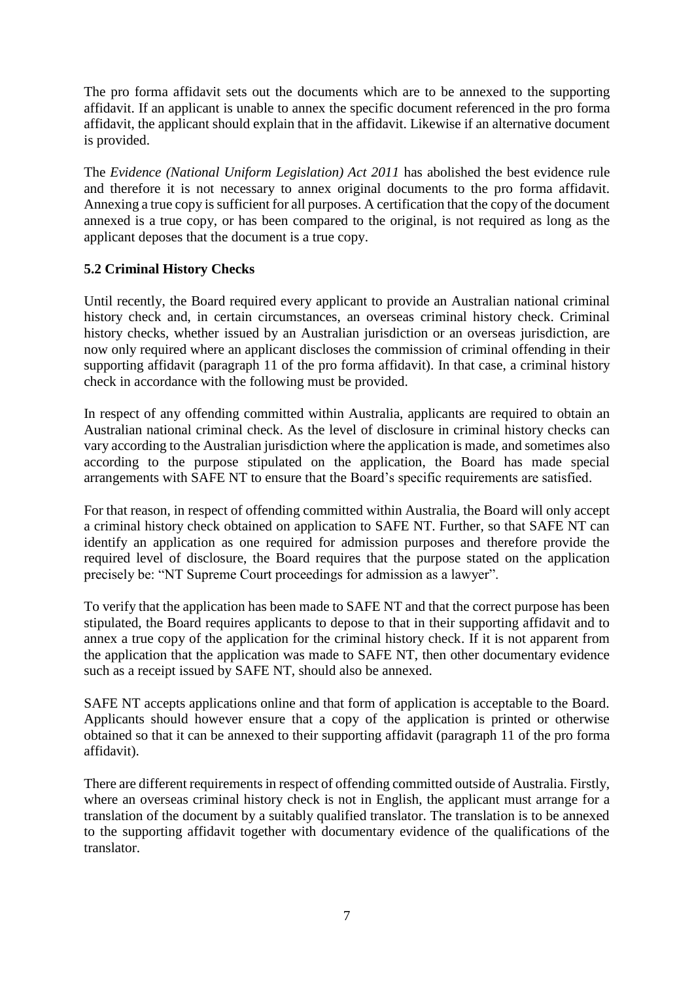The pro forma affidavit sets out the documents which are to be annexed to the supporting affidavit. If an applicant is unable to annex the specific document referenced in the pro forma affidavit, the applicant should explain that in the affidavit. Likewise if an alternative document is provided.

The *Evidence (National Uniform Legislation) Act 2011* has abolished the best evidence rule and therefore it is not necessary to annex original documents to the pro forma affidavit. Annexing a true copy is sufficient for all purposes. A certification that the copy of the document annexed is a true copy, or has been compared to the original, is not required as long as the applicant deposes that the document is a true copy.

## **5.2 Criminal History Checks**

Until recently, the Board required every applicant to provide an Australian national criminal history check and, in certain circumstances, an overseas criminal history check. Criminal history checks, whether issued by an Australian jurisdiction or an overseas jurisdiction, are now only required where an applicant discloses the commission of criminal offending in their supporting affidavit (paragraph 11 of the pro forma affidavit). In that case, a criminal history check in accordance with the following must be provided.

In respect of any offending committed within Australia, applicants are required to obtain an Australian national criminal check. As the level of disclosure in criminal history checks can vary according to the Australian jurisdiction where the application is made, and sometimes also according to the purpose stipulated on the application, the Board has made special arrangements with SAFE NT to ensure that the Board's specific requirements are satisfied.

For that reason, in respect of offending committed within Australia, the Board will only accept a criminal history check obtained on application to SAFE NT. Further, so that SAFE NT can identify an application as one required for admission purposes and therefore provide the required level of disclosure, the Board requires that the purpose stated on the application precisely be: "NT Supreme Court proceedings for admission as a lawyer".

To verify that the application has been made to SAFE NT and that the correct purpose has been stipulated, the Board requires applicants to depose to that in their supporting affidavit and to annex a true copy of the application for the criminal history check. If it is not apparent from the application that the application was made to SAFE NT, then other documentary evidence such as a receipt issued by SAFE NT, should also be annexed.

SAFE NT accepts applications online and that form of application is acceptable to the Board. Applicants should however ensure that a copy of the application is printed or otherwise obtained so that it can be annexed to their supporting affidavit (paragraph 11 of the pro forma affidavit).

There are different requirements in respect of offending committed outside of Australia. Firstly, where an overseas criminal history check is not in English, the applicant must arrange for a translation of the document by a suitably qualified translator. The translation is to be annexed to the supporting affidavit together with documentary evidence of the qualifications of the translator.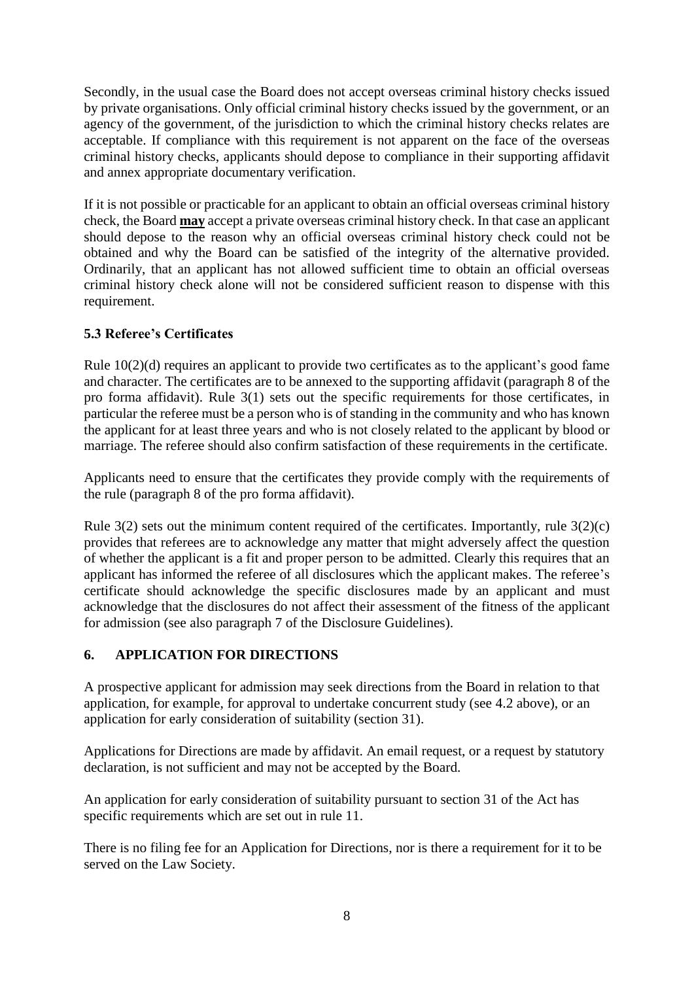Secondly, in the usual case the Board does not accept overseas criminal history checks issued by private organisations. Only official criminal history checks issued by the government, or an agency of the government, of the jurisdiction to which the criminal history checks relates are acceptable. If compliance with this requirement is not apparent on the face of the overseas criminal history checks, applicants should depose to compliance in their supporting affidavit and annex appropriate documentary verification.

If it is not possible or practicable for an applicant to obtain an official overseas criminal history check, the Board **may** accept a private overseas criminal history check. In that case an applicant should depose to the reason why an official overseas criminal history check could not be obtained and why the Board can be satisfied of the integrity of the alternative provided. Ordinarily, that an applicant has not allowed sufficient time to obtain an official overseas criminal history check alone will not be considered sufficient reason to dispense with this requirement.

# **5.3 Referee's Certificates**

Rule 10(2)(d) requires an applicant to provide two certificates as to the applicant's good fame and character. The certificates are to be annexed to the supporting affidavit (paragraph 8 of the pro forma affidavit). Rule 3(1) sets out the specific requirements for those certificates, in particular the referee must be a person who is of standing in the community and who has known the applicant for at least three years and who is not closely related to the applicant by blood or marriage. The referee should also confirm satisfaction of these requirements in the certificate.

Applicants need to ensure that the certificates they provide comply with the requirements of the rule (paragraph 8 of the pro forma affidavit).

Rule  $3(2)$  sets out the minimum content required of the certificates. Importantly, rule  $3(2)(c)$ provides that referees are to acknowledge any matter that might adversely affect the question of whether the applicant is a fit and proper person to be admitted. Clearly this requires that an applicant has informed the referee of all disclosures which the applicant makes. The referee's certificate should acknowledge the specific disclosures made by an applicant and must acknowledge that the disclosures do not affect their assessment of the fitness of the applicant for admission (see also paragraph 7 of the Disclosure Guidelines).

### **6. APPLICATION FOR DIRECTIONS**

A prospective applicant for admission may seek directions from the Board in relation to that application, for example, for approval to undertake concurrent study (see 4.2 above), or an application for early consideration of suitability (section 31).

Applications for Directions are made by affidavit. An email request, or a request by statutory declaration, is not sufficient and may not be accepted by the Board.

An application for early consideration of suitability pursuant to section 31 of the Act has specific requirements which are set out in rule 11.

There is no filing fee for an Application for Directions, nor is there a requirement for it to be served on the Law Society.